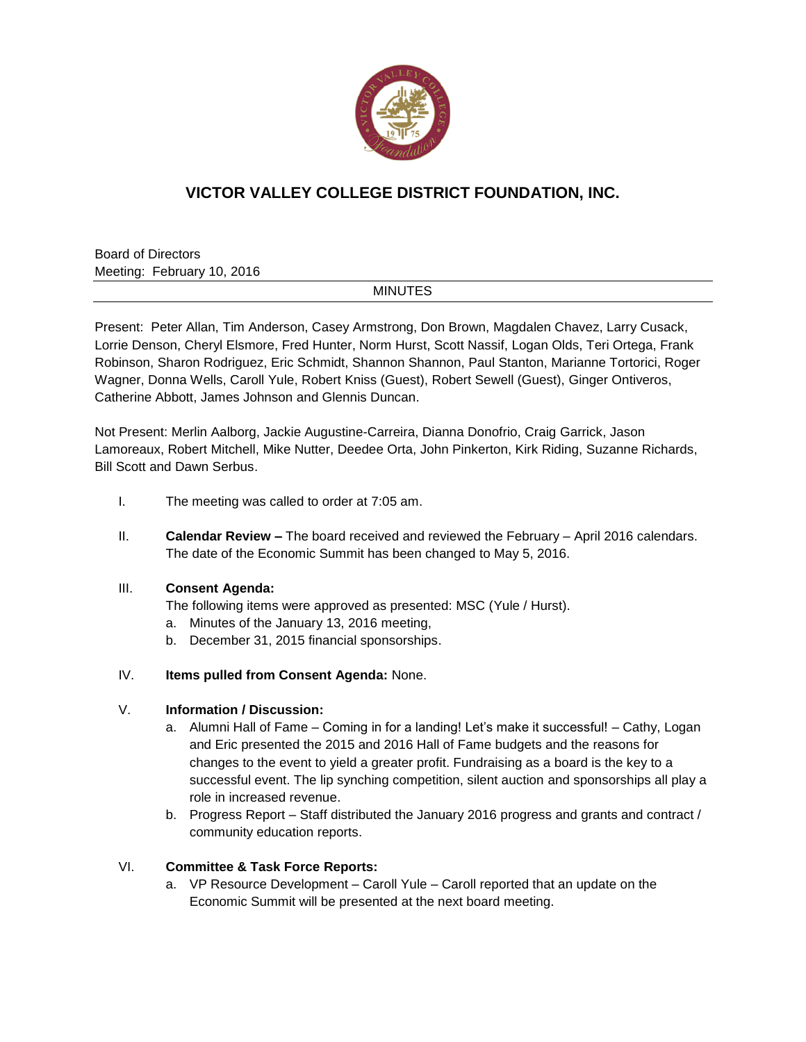

# **VICTOR VALLEY COLLEGE DISTRICT FOUNDATION, INC.**

Board of Directors Meeting: February 10, 2016

# MINUTES

Present: Peter Allan, Tim Anderson, Casey Armstrong, Don Brown, Magdalen Chavez, Larry Cusack, Lorrie Denson, Cheryl Elsmore, Fred Hunter, Norm Hurst, Scott Nassif, Logan Olds, Teri Ortega, Frank Robinson, Sharon Rodriguez, Eric Schmidt, Shannon Shannon, Paul Stanton, Marianne Tortorici, Roger Wagner, Donna Wells, Caroll Yule, Robert Kniss (Guest), Robert Sewell (Guest), Ginger Ontiveros, Catherine Abbott, James Johnson and Glennis Duncan.

Not Present: Merlin Aalborg, Jackie Augustine-Carreira, Dianna Donofrio, Craig Garrick, Jason Lamoreaux, Robert Mitchell, Mike Nutter, Deedee Orta, John Pinkerton, Kirk Riding, Suzanne Richards, Bill Scott and Dawn Serbus.

- I. The meeting was called to order at 7:05 am.
- II. **Calendar Review –** The board received and reviewed the February April 2016 calendars. The date of the Economic Summit has been changed to May 5, 2016.

# III. **Consent Agenda:**

- The following items were approved as presented: MSC (Yule / Hurst).
- a. Minutes of the January 13, 2016 meeting,
- b. December 31, 2015 financial sponsorships.
- IV. **Items pulled from Consent Agenda:** None.

# V. **Information / Discussion:**

- a. Alumni Hall of Fame Coming in for a landing! Let's make it successful! Cathy, Logan and Eric presented the 2015 and 2016 Hall of Fame budgets and the reasons for changes to the event to yield a greater profit. Fundraising as a board is the key to a successful event. The lip synching competition, silent auction and sponsorships all play a role in increased revenue.
- b. Progress Report Staff distributed the January 2016 progress and grants and contract / community education reports.

# VI. **Committee & Task Force Reports:**

a. VP Resource Development – Caroll Yule – Caroll reported that an update on the Economic Summit will be presented at the next board meeting.